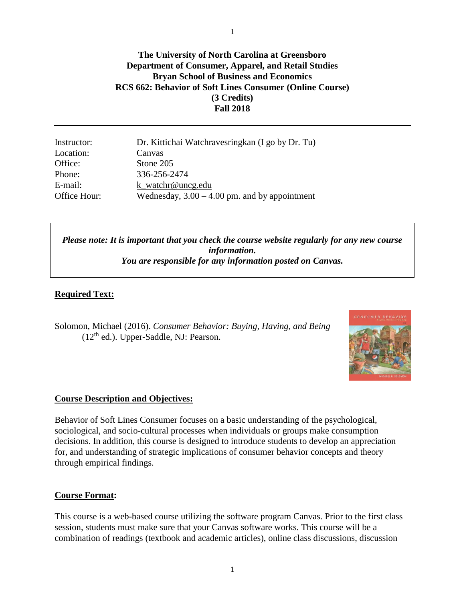**The University of North Carolina at Greensboro Department of Consumer, Apparel, and Retail Studies Bryan School of Business and Economics RCS 662: Behavior of Soft Lines Consumer (Online Course) (3 Credits) Fall 2018**

| Instructor:  | Dr. Kittichai Watchravesringkan (I go by Dr. Tu) |
|--------------|--------------------------------------------------|
| Location:    | Canvas                                           |
| Office:      | Stone 205                                        |
| Phone:       | 336-256-2474                                     |
| E-mail:      | k watchr@uncg.edu                                |
| Office Hour: | Wednesday, $3.00 - 4.00$ pm. and by appointment  |

*Please note: It is important that you check the course website regularly for any new course information. You are responsible for any information posted on Canvas.*

## **Required Text:**

Solomon, Michael (2016). *Consumer Behavior: Buying, Having, and Being* (12<sup>th</sup> ed.). Upper-Saddle, NJ: Pearson.



#### **Course Description and Objectives:**

Behavior of Soft Lines Consumer focuses on a basic understanding of the psychological, sociological, and socio-cultural processes when individuals or groups make consumption decisions. In addition, this course is designed to introduce students to develop an appreciation for, and understanding of strategic implications of consumer behavior concepts and theory through empirical findings.

#### **Course Format:**

This course is a web-based course utilizing the software program Canvas. Prior to the first class session, students must make sure that your Canvas software works. This course will be a combination of readings (textbook and academic articles), online class discussions, discussion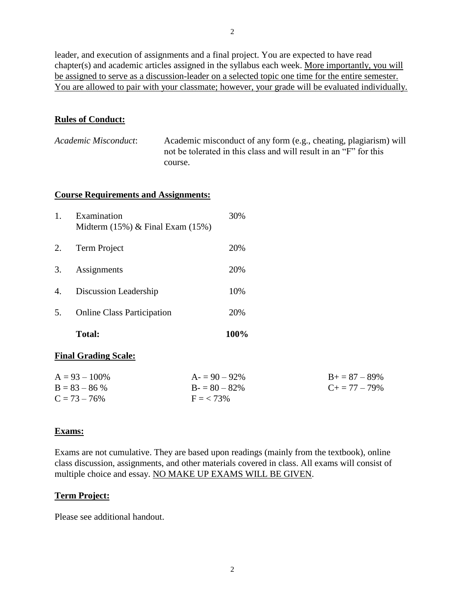leader, and execution of assignments and a final project. You are expected to have read chapter(s) and academic articles assigned in the syllabus each week. More importantly, you will be assigned to serve as a discussion-leader on a selected topic one time for the entire semester. You are allowed to pair with your classmate; however, your grade will be evaluated individually.

# **Rules of Conduct:**

| Academic Misconduct: | Academic misconduct of any form (e.g., cheating, plagiarism) will |
|----------------------|-------------------------------------------------------------------|
|                      | not be tolerated in this class and will result in an "F" for this |
|                      | course.                                                           |

#### **Course Requirements and Assignments:**

|    | <b>Total:</b>                                         | <b>100%</b> |
|----|-------------------------------------------------------|-------------|
| 5. | <b>Online Class Participation</b>                     | 20%         |
| 4. | Discussion Leadership                                 | 10%         |
| 3. | Assignments                                           | 20%         |
| 2. | Term Project                                          | 20%         |
|    | Examination<br>Midterm $(15\%)$ & Final Exam $(15\%)$ | 30%         |

# **Final Grading Scale:**

| $A = 93 - 100\%$ | $A = 90 - 92\%$ | $B+=87-89\%$          |
|------------------|-----------------|-----------------------|
| $B = 83 - 86 %$  | $B = 80 - 82\%$ | $C_{\pm} = 77 - 79\%$ |
| $C = 73 - 76\%$  | $F = 73\%$      |                       |

## **Exams:**

Exams are not cumulative. They are based upon readings (mainly from the textbook), online class discussion, assignments, and other materials covered in class. All exams will consist of multiple choice and essay. NO MAKE UP EXAMS WILL BE GIVEN.

## **Term Project:**

Please see additional handout.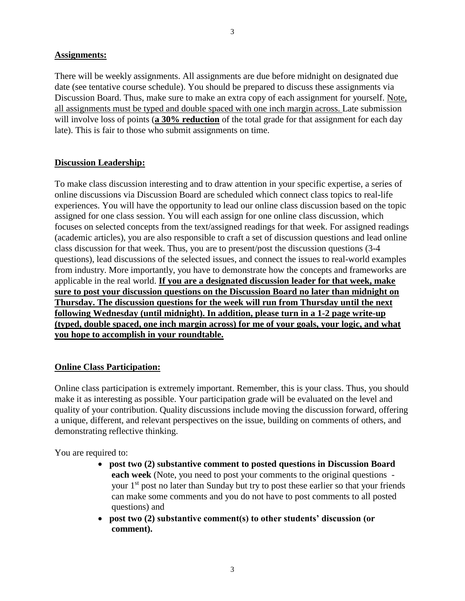#### **Assignments:**

There will be weekly assignments. All assignments are due before midnight on designated due date (see tentative course schedule). You should be prepared to discuss these assignments via Discussion Board. Thus, make sure to make an extra copy of each assignment for yourself. Note, all assignments must be typed and double spaced with one inch margin across. Late submission will involve loss of points (**a 30% reduction** of the total grade for that assignment for each day late). This is fair to those who submit assignments on time.

#### **Discussion Leadership:**

To make class discussion interesting and to draw attention in your specific expertise, a series of online discussions via Discussion Board are scheduled which connect class topics to real-life experiences. You will have the opportunity to lead our online class discussion based on the topic assigned for one class session. You will each assign for one online class discussion, which focuses on selected concepts from the text/assigned readings for that week. For assigned readings (academic articles), you are also responsible to craft a set of discussion questions and lead online class discussion for that week. Thus, you are to present/post the discussion questions (3-4 questions), lead discussions of the selected issues, and connect the issues to real-world examples from industry. More importantly, you have to demonstrate how the concepts and frameworks are applicable in the real world. **If you are a designated discussion leader for that week, make sure to post your discussion questions on the Discussion Board no later than midnight on Thursday. The discussion questions for the week will run from Thursday until the next following Wednesday (until midnight). In addition, please turn in a 1-2 page write-up (typed, double spaced, one inch margin across) for me of your goals, your logic, and what you hope to accomplish in your roundtable.**

#### **Online Class Participation:**

Online class participation is extremely important. Remember, this is your class. Thus, you should make it as interesting as possible. Your participation grade will be evaluated on the level and quality of your contribution. Quality discussions include moving the discussion forward, offering a unique, different, and relevant perspectives on the issue, building on comments of others, and demonstrating reflective thinking.

You are required to:

- **post two (2) substantive comment to posted questions in Discussion Board each week** (Note, you need to post your comments to the original questions your 1<sup>st</sup> post no later than Sunday but try to post these earlier so that your friends can make some comments and you do not have to post comments to all posted questions) and
- **post two (2) substantive comment(s) to other students' discussion (or comment).**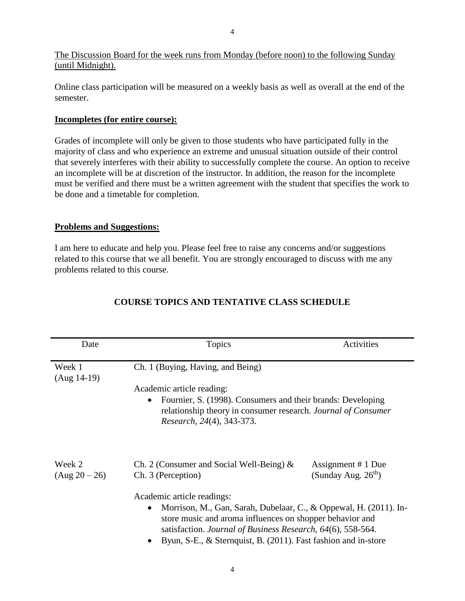The Discussion Board for the week runs from Monday (before noon) to the following Sunday (until Midnight).

Online class participation will be measured on a weekly basis as well as overall at the end of the semester.

### **Incompletes (for entire course):**

Grades of incomplete will only be given to those students who have participated fully in the majority of class and who experience an extreme and unusual situation outside of their control that severely interferes with their ability to successfully complete the course. An option to receive an incomplete will be at discretion of the instructor. In addition, the reason for the incomplete must be verified and there must be a written agreement with the student that specifies the work to be done and a timetable for completion.

## **Problems and Suggestions:**

I am here to educate and help you. Please feel free to raise any concerns and/or suggestions related to this course that we all benefit. You are strongly encouraged to discuss with me any problems related to this course.

| Date                    | Topics                                                                                                                                                                                                                                                                                                                                                                         | Activities                                  |
|-------------------------|--------------------------------------------------------------------------------------------------------------------------------------------------------------------------------------------------------------------------------------------------------------------------------------------------------------------------------------------------------------------------------|---------------------------------------------|
| Week 1<br>$(Aug 14-19)$ | Ch. 1 (Buying, Having, and Being)<br>Academic article reading:<br>Fournier, S. (1998). Consumers and their brands: Developing<br>relationship theory in consumer research. Journal of Consumer<br>Research, 24(4), 343-373.                                                                                                                                                    |                                             |
| Week 2<br>(Aug 20 – 26) | Ch. 2 (Consumer and Social Well-Being) $\&$<br>Ch. 3 (Perception)<br>Academic article readings:<br>Morrison, M., Gan, Sarah, Dubelaar, C., & Oppewal, H. (2011). In-<br>$\bullet$<br>store music and aroma influences on shopper behavior and<br>satisfaction. Journal of Business Research, 64(6), 558-564.<br>Byun, S-E., & Sternquist, B. (2011). Fast fashion and in-store | Assignment # 1 Due<br>(Sunday Aug. $26th$ ) |

# **COURSE TOPICS AND TENTATIVE CLASS SCHEDULE**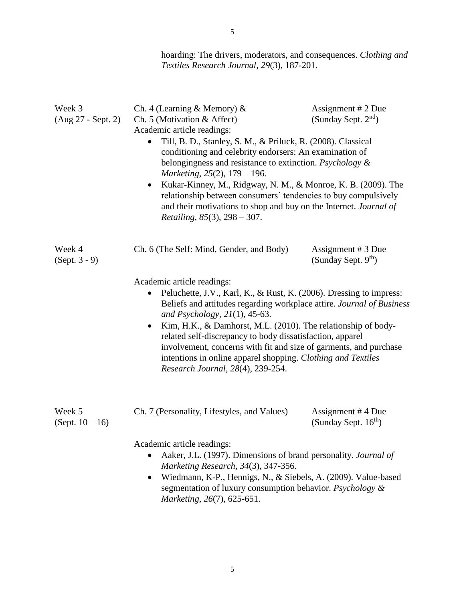| hoarding: The drivers, moderators, and consequences. Clothing and |
|-------------------------------------------------------------------|
| Textiles Research Journal, 29(3), 187-201.                        |

| Week 3<br>(Aug 27 - Sept. 2) | Ch. 4 (Learning & Memory) $\&$<br>Ch. 5 (Motivation & Affect)<br>Academic article readings:<br>Till, B. D., Stanley, S. M., & Priluck, R. (2008). Classical<br>conditioning and celebrity endorsers: An examination of<br>belongingness and resistance to extinction. Psychology &<br>Marketing, 25(2), 179 - 196.<br>Kukar-Kinney, M., Ridgway, N. M., & Monroe, K. B. (2009). The<br>$\bullet$<br>relationship between consumers' tendencies to buy compulsively<br>and their motivations to shop and buy on the Internet. Journal of<br><i>Retailing</i> , $85(3)$ , $298 - 307$ . | Assignment # 2 Due<br>(Sunday Sept. $2nd$ )           |
|------------------------------|---------------------------------------------------------------------------------------------------------------------------------------------------------------------------------------------------------------------------------------------------------------------------------------------------------------------------------------------------------------------------------------------------------------------------------------------------------------------------------------------------------------------------------------------------------------------------------------|-------------------------------------------------------|
| Week 4<br>$(Sept. 3 - 9)$    | Ch. 6 (The Self: Mind, Gender, and Body)<br>Academic article readings:<br>Peluchette, J.V., Karl, K., & Rust, K. (2006). Dressing to impress:<br>Beliefs and attitudes regarding workplace attire. Journal of Business<br>and Psychology, $21(1)$ , 45-63.<br>Kim, H.K., & Damhorst, M.L. (2010). The relationship of body-<br>$\bullet$<br>related self-discrepancy to body dissatisfaction, apparel<br>involvement, concerns with fit and size of garments, and purchase<br>intentions in online apparel shopping. Clothing and Textiles<br>Research Journal, 28(4), 239-254.       | Assignment # 3 Due<br>(Sunday Sept. 9 <sup>th</sup> ) |
| Week 5<br>(Sept. $10 - 16$ ) | Ch. 7 (Personality, Lifestyles, and Values)<br>Academic article readings:<br>Aaker, J.L. (1997). Dimensions of brand personality. Journal of<br>Marketing Research, 34(3), 347-356.<br>Wiedmann, K-P., Hennigs, N., & Siebels, A. (2009). Value-based<br>$\bullet$<br>segmentation of luxury consumption behavior. Psychology &<br>Marketing, 26(7), 625-651.                                                                                                                                                                                                                         | Assignment #4 Due<br>(Sunday Sept. $16th$ )           |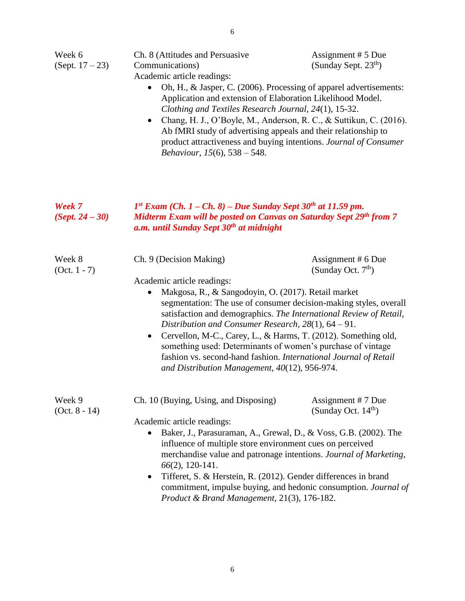| (Sept. $17 - 23$ )        | Communications)<br>Academic article readings:<br>Oh, H., & Jasper, C. (2006). Processing of apparel advertisements:<br>Application and extension of Elaboration Likelihood Model.<br>Clothing and Textiles Research Journal, 24(1), 15-32.<br>Chang, H. J., O'Boyle, M., Anderson, R. C., & Suttikun, C. (2016).<br>$\bullet$<br>Ab fMRI study of advertising appeals and their relationship to<br>product attractiveness and buying intentions. Journal of Consumer<br><i>Behaviour, 15(6), 538 – 548.</i>                                                                                          | (Sunday Sept. 23 <sup>th</sup> )             |
|---------------------------|------------------------------------------------------------------------------------------------------------------------------------------------------------------------------------------------------------------------------------------------------------------------------------------------------------------------------------------------------------------------------------------------------------------------------------------------------------------------------------------------------------------------------------------------------------------------------------------------------|----------------------------------------------|
| Week 7<br>$(Sept. 24-30)$ | $1^{st}$ Exam (Ch. 1 – Ch. 8) – Due Sunday Sept 30 <sup>th</sup> at 11.59 pm.<br><b>Midterm Exam will be posted on Canvas on Saturday Sept 29th from 7</b><br>a.m. until Sunday Sept 30 <sup>th</sup> at midnight                                                                                                                                                                                                                                                                                                                                                                                    |                                              |
| Week 8<br>$(Oct. 1 - 7)$  | Ch. 9 (Decision Making)<br>Academic article readings:<br>Makgosa, R., & Sangodoyin, O. (2017). Retail market<br>$\bullet$<br>segmentation: The use of consumer decision-making styles, overall<br>satisfaction and demographics. The International Review of Retail,<br>Distribution and Consumer Research, $28(1)$ , $64 - 91$ .<br>Cervellon, M-C., Carey, L., & Harms, T. (2012). Something old,<br>$\bullet$<br>something used: Determinants of women's purchase of vintage<br>fashion vs. second-hand fashion. International Journal of Retail<br>and Distribution Management, 40(12), 956-974. | Assignment $# 6$ Due<br>(Sunday Oct. $7th$ ) |
| Week 9<br>$(Oct. 8 - 14)$ | Ch. 10 (Buying, Using, and Disposing)<br>Academic article readings:<br>Baker, J., Parasuraman, A., Grewal, D., & Voss, G.B. (2002). The<br>influence of multiple store environment cues on perceived<br>merchandise value and patronage intentions. Journal of Marketing,<br>$66(2)$ , 120-141.<br>Tifferet, S. & Herstein, R. (2012). Gender differences in brand<br>$\bullet$<br>commitment, impulse buying, and hedonic consumption. Journal of<br>Product & Brand Management, 21(3), 176-182.                                                                                                    | Assignment #7 Due<br>(Sunday Oct. $14th$ )   |

Assignment # 5 Due

Ch. 8 (Attitudes and Persuasive

Week 6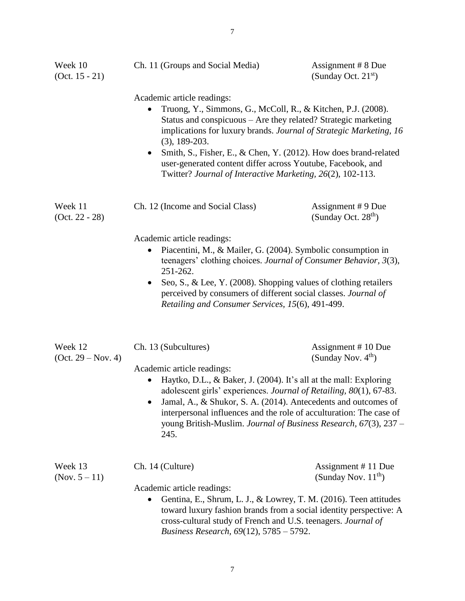| Week 10<br>(Oct. $15 - 21$ )    | Ch. 11 (Groups and Social Media)                                                                                                                                                                                                                                                                                                                                                                                                                                                 | Assignment # 8 Due<br>(Sunday Oct. $21st$ )    |
|---------------------------------|----------------------------------------------------------------------------------------------------------------------------------------------------------------------------------------------------------------------------------------------------------------------------------------------------------------------------------------------------------------------------------------------------------------------------------------------------------------------------------|------------------------------------------------|
|                                 | Academic article readings:<br>Truong, Y., Simmons, G., McColl, R., & Kitchen, P.J. (2008).<br>$\bullet$<br>Status and conspicuous - Are they related? Strategic marketing<br>implications for luxury brands. Journal of Strategic Marketing, 16<br>$(3), 189-203.$<br>Smith, S., Fisher, E., & Chen, Y. (2012). How does brand-related<br>$\bullet$<br>user-generated content differ across Youtube, Facebook, and<br>Twitter? Journal of Interactive Marketing, 26(2), 102-113. |                                                |
| Week 11<br>$(Oct. 22 - 28)$     | Ch. 12 (Income and Social Class)                                                                                                                                                                                                                                                                                                                                                                                                                                                 | Assignment #9 Due<br>(Sunday Oct. $28th$ )     |
|                                 | Academic article readings:<br>Piacentini, M., & Mailer, G. (2004). Symbolic consumption in<br>teenagers' clothing choices. Journal of Consumer Behavior, 3(3),<br>251-262.<br>Seo, S., & Lee, Y. (2008). Shopping values of clothing retailers<br>$\bullet$<br>perceived by consumers of different social classes. Journal of<br>Retailing and Consumer Services, 15(6), 491-499.                                                                                                |                                                |
| Week 12<br>$(Oct. 29 - Nov. 4)$ | Ch. 13 (Subcultures)<br>Academic article readings:<br>Haytko, D.L., & Baker, J. (2004). It's all at the mall: Exploring<br>$\bullet$<br>adolescent girls' experiences. Journal of Retailing, 80(1), 67-83.<br>Jamal, A., & Shukor, S. A. (2014). Antecedents and outcomes of<br>interpersonal influences and the role of acculturation: The case of<br>young British-Muslim. Journal of Business Research, 67(3), 237 -<br>245.                                                  | Assignment #10 Due<br>(Sunday Nov. $4th$ )     |
| Week 13<br>(Nov. $5 - 11$ )     | Ch. 14 (Culture)<br>Academic article readings:<br>Gentina, E., Shrum, L. J., & Lowrey, T. M. (2016). Teen attitudes<br>٠<br>toward luxury fashion brands from a social identity perspective: A<br>cross-cultural study of French and U.S. teenagers. Journal of<br>Business Research, 69(12), 5785 - 5792.                                                                                                                                                                       | Assignment #11 Due<br>(Sunday Nov. $11^{th}$ ) |

7